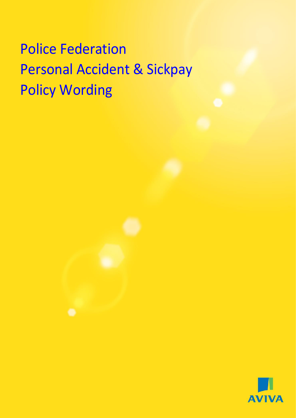# Police Federation Personal Accident & Sickpay Policy Wording

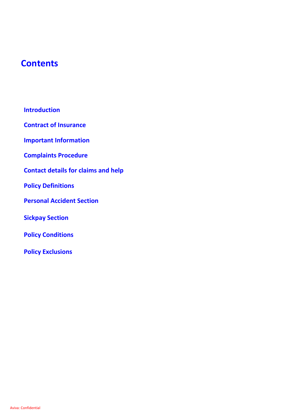## **Contents**

**Introduction**

**Contract of Insurance** 

**Important Information** 

**Complaints Procedure**

**Contact details for claims and help**

**Policy Definitions**

**Personal Accident Section**

**Sickpay Section**

**Policy Conditions**

**Policy Exclusions**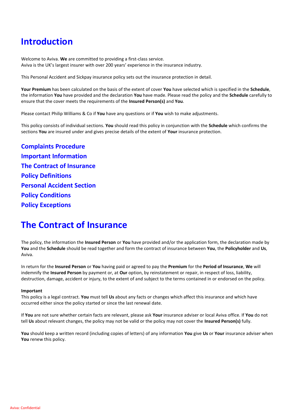## **Introduction**

Welcome to Aviva. **We** are committed to providing a first-class service. Aviva is the UK's largest insurer with over 200 years' experience in the insurance industry.

This Personal Accident and Sickpay insurance policy sets out the insurance protection in detail.

**Your Premium** has been calculated on the basis of the extent of cover **You** have selected which is specified in the **Schedule**, the information **You** have provided and the declaration **You** have made. Please read the policy and the **Schedule** carefully to ensure that the cover meets the requirements of the **Insured Person(s)** and **You**.

Please contact Philip Williams & Co if **You** have any questions or if **You** wish to make adjustments.

This policy consists of individual sections. **You** should read this policy in conjunction with the **Schedule** which confirms the sections **You** are insured under and gives precise details of the extent of **Your** insurance protection.

**Complaints Procedure Important Information The Contract of Insurance Policy Definitions Personal Accident Section Policy Conditions Policy Exceptions**

## **The Contract of Insurance**

The policy, the information the **Insured Person** or **You** have provided and/or the application form, the declaration made by **You** and the **Schedule** should be read together and form the contract of insurance between **You**, the **Policyholder** and **Us**, Aviva.

In return for the **Insured Person** or **You** having paid or agreed to pay the **Premium** for the **Period of Insurance**, **We** will indemnify the **Insured Person** by payment or, at **Our** option, by reinstatement or repair, in respect of loss, liability, destruction, damage, accident or injury, to the extent of and subject to the terms contained in or endorsed on the policy.

#### **Important**

This policy is a legal contract. **You** must tell **Us** about any facts or changes which affect this insurance and which have occurred either since the policy started or since the last renewal date.

If **You** are not sure whether certain facts are relevant, please ask **Your** insurance adviser or local Aviva office. If **You** do not tell **Us** about relevant changes, the policy may not be valid or the policy may not cover the **Insured Person(s)** fully.

**You** should keep a written record (including copies of letters) of any information **You** give **Us** or **Your** insurance adviser when **You** renew this policy.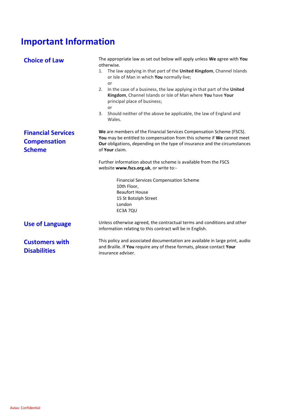## **Important Information**

| <b>Choice of Law</b>                                              | The appropriate law as set out below will apply unless We agree with You<br>otherwise.<br>1. The law applying in that part of the United Kingdom, Channel Islands<br>or Isle of Man in which You normally live;<br>or<br>In the case of a business, the law applying in that part of the United<br>2.<br>Kingdom, Channel Islands or Isle of Man where You have Your<br>principal place of business;<br>or<br>3.<br>Should neither of the above be applicable, the law of England and<br>Wales.   |  |
|-------------------------------------------------------------------|---------------------------------------------------------------------------------------------------------------------------------------------------------------------------------------------------------------------------------------------------------------------------------------------------------------------------------------------------------------------------------------------------------------------------------------------------------------------------------------------------|--|
| <b>Financial Services</b><br><b>Compensation</b><br><b>Scheme</b> | We are members of the Financial Services Compensation Scheme (FSCS).<br>You may be entitled to compensation from this scheme if We cannot meet<br>Our obligations, depending on the type of insurance and the circumstances<br>of Your claim.<br>Further information about the scheme is available from the FSCS<br>website www.fscs.org.uk, or write to:-<br><b>Financial Services Compensation Scheme</b><br>10th Floor,<br><b>Beaufort House</b><br>15 St Botolph Street<br>London<br>EC3A 7QU |  |
| <b>Use of Language</b>                                            | Unless otherwise agreed, the contractual terms and conditions and other<br>information relating to this contract will be in English.                                                                                                                                                                                                                                                                                                                                                              |  |
| <b>Customers with</b><br><b>Disabilities</b>                      | This policy and associated documentation are available in large print, audio<br>and Braille. If You require any of these formats, please contact Your<br>insurance adviser.                                                                                                                                                                                                                                                                                                                       |  |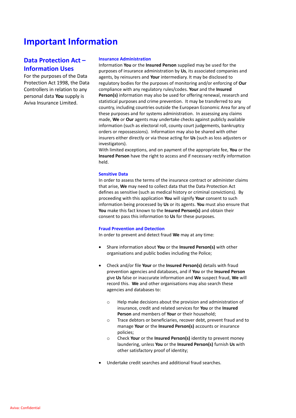## **Important Information**

## **Data Protection Act – Information Uses**

For the purposes of the Data Protection Act 1998, the Data Controllers in relation to any personal data **You** supply is Aviva Insurance Limited.

#### **Insurance Administration**

Information **You** or the **Insured Person** supplied may be used for the purposes of insurance administration by **Us**, its associated companies and agents, by reinsurers and **Your** intermediary. It may be disclosed to regulatory bodies for the purposes of monitoring and/or enforcing of **Our** compliance with any regulatory rules/codes. **Your** and the **Insured Person(s)** information may also be used for offering renewal, research and statistical purposes and crime prevention. It may be transferred to any country, including countries outside the European Economic Area for any of these purposes and for systems administration. In assessing any claims made, **We** or **Our** agents may undertake checks against publicly available information (such as electoral roll, county court judgements, bankruptcy orders or repossessions). Information may also be shared with other insurers either directly or via those acting for **Us** (such as loss adjusters or investigators).

With limited exceptions, and on payment of the appropriate fee, **You** or the **Insured Person** have the right to access and if necessary rectify information held.

#### **Sensitive Data**

In order to assess the terms of the insurance contract or administer claims that arise, **We** may need to collect data that the Data Protection Act defines as sensitive (such as medical history or criminal convictions). By proceeding with this application **You** will signify **Your** consent to such information being processed by **Us** or its agents. **You** must also ensure that **You** make this fact known to the **Insured Person(s)** and obtain their consent to pass this information to **Us** for these purposes.

#### **Fraud Prevention and Detection**

In order to prevent and detect fraud **We** may at any time:

- Share information about **You** or the **Insured Person(s)** with other organisations and public bodies including the Police;
- Check and/or file **Your** or the **Insured Person(s)** details with fraud prevention agencies and databases, and if **You** or the **Insured Person** give **Us** false or inaccurate information and **We** suspect fraud, **We** will record this. **We** and other organisations may also search these agencies and databases to:
	- o Help make decisions about the provision and administration of insurance, credit and related services for **You** or the **Insured Person** and members of **Your** or their household;
	- o Trace debtors or beneficiaries, recover debt, prevent fraud and to manage **Your** or the **Insured Person(s)** accounts or insurance policies;
	- o Check **Your** or the **Insured Person(s)** identity to prevent money laundering, unless **You** or the **Insured Person(s)** furnish **Us** with other satisfactory proof of identity;
- Undertake credit searches and additional fraud searches.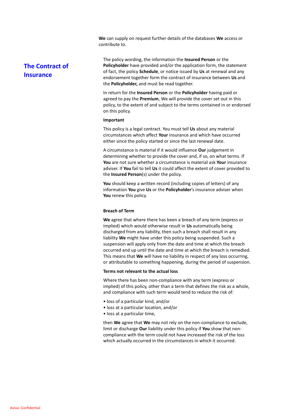**We** can supply on request further details of the databases **We** access or contribute to.

## **The Contract of Insurance**

The policy wording, the information the **Insured Person** or the **Policyholder** have provided and/or the application form, the statement of fact, the policy **Schedule**, or notice issued by **Us** at renewal and any endorsement together form the contract of insurance between **Us** and the **Policyholder,** and must be read together.

In return for the **Insured Person** or the **Policyholder** having paid or agreed to pay the **Premium**, We will provide the cover set out in this policy, to the extent of and subject to the terms contained in or endorsed on this policy.

#### **Important**

This policy is a legal contract. You must tell **Us** about any material circumstances which affect **Your** insurance and which have occurred either since the policy started or since the last renewal date.

A circumstance is material if it would influence **Our** judgement in determining whether to provide the cover and, if so, on what terms. If **You** are not sure whether a circumstance is material ask **Your** insurance adviser. If **You** fail to tell **Us** it could affect the extent of cover provided to the **Insured Person**(s) under the policy.

**You** should keep a written record (including copies of letters) of any information **You** give **Us** or the **Policyholder**'s insurance adviser when **You** renew this policy.

#### **Breach of Term**

**We** agree that where there has been a breach of any term (express or implied) which would otherwise result in **Us** automatically being discharged from any liability, then such a breach shall result in any liability **We** might have under this policy being suspended. Such a suspension will apply only from the date and time at which the breach occurred and up until the date and time at which the breach is remedied. This means that **We** will have no liability in respect of any loss occurring, or attributable to something happening, during the period of suspension.

#### **Terms not relevant to the actual loss**

Where there has been non-compliance with any term (express or implied) of this policy, other than a term that defines the risk as a whole, and compliance with such term would tend to reduce the risk of:

- loss of a particular kind, and/or
- loss at a particular location, and/or
- loss at a particular time,

then **We** agree that **We** may not rely on the non-compliance to exclude, limit or discharge **Our** liability under this policy if **You** show that noncompliance with the term could not have increased the risk of the loss which actually occurred in the circumstances in which it occurred.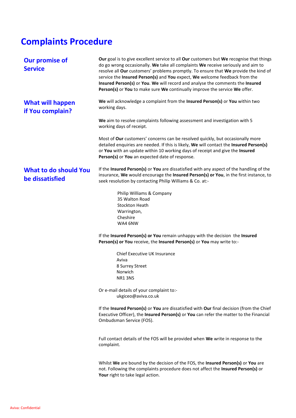## **Complaints Procedure**

| <b>Our promise of</b><br><b>Service</b>         | Our goal is to give excellent service to all Our customers but We recognise that things<br>do go wrong occasionally. We take all complaints We receive seriously and aim to<br>resolve all Our customers' problems promptly. To ensure that We provide the kind of<br>service the Insured Person(s) and You expect, We welcome feedback from the<br>Insured Person(s) or You. We will record and analyse the comments the Insured<br>Person(s) or You to make sure We continually improve the service We offer. |
|-------------------------------------------------|-----------------------------------------------------------------------------------------------------------------------------------------------------------------------------------------------------------------------------------------------------------------------------------------------------------------------------------------------------------------------------------------------------------------------------------------------------------------------------------------------------------------|
| <b>What will happen</b><br>if You complain?     | We will acknowledge a complaint from the Insured Person(s) or You within two<br>working days.                                                                                                                                                                                                                                                                                                                                                                                                                   |
|                                                 | We aim to resolve complaints following assessment and investigation with 5<br>working days of receipt.                                                                                                                                                                                                                                                                                                                                                                                                          |
|                                                 | Most of Our customers' concerns can be resolved quickly, but occasionally more<br>detailed enquiries are needed. If this is likely, We will contact the Insured Person(s)<br>or You with an update within 10 working days of receipt and give the Insured<br>Person(s) or You an expected date of response.                                                                                                                                                                                                     |
| <b>What to do should You</b><br>be dissatisfied | If the Insured Person(s) or You are dissatisfied with any aspect of the handling of the<br>insurance, We would encourage the Insured Person(s) or You, in the first instance, to<br>seek resolution by contacting Philip Williams & Co. at:-                                                                                                                                                                                                                                                                    |
|                                                 | Philip Williams & Company<br>35 Walton Road<br><b>Stockton Heath</b><br>Warrington,<br>Cheshire<br>WA4 6NW                                                                                                                                                                                                                                                                                                                                                                                                      |
|                                                 | If the Insured Person(s) or You remain unhappy with the decision the Insured<br>Person(s) or You receive, the Insured Person(s) or You may write to:-                                                                                                                                                                                                                                                                                                                                                           |
|                                                 | Chief Executive UK Insurance<br>Aviva<br>8 Surrey Street                                                                                                                                                                                                                                                                                                                                                                                                                                                        |
|                                                 | Norwich<br>NR13NS                                                                                                                                                                                                                                                                                                                                                                                                                                                                                               |
|                                                 | Or e-mail details of your complaint to:-<br>ukgiceo@aviva.co.uk                                                                                                                                                                                                                                                                                                                                                                                                                                                 |
|                                                 | If the Insured Person(s) or You are dissatisfied with Our final decision (from the Chief<br>Executive Officer), the Insured Person(s) or You can refer the matter to the Financial<br>Ombudsman Service (FOS).                                                                                                                                                                                                                                                                                                  |
|                                                 | Full contact details of the FOS will be provided when We write in response to the<br>complaint.                                                                                                                                                                                                                                                                                                                                                                                                                 |
|                                                 | Whilst We are bound by the decision of the FOS, the Insured Person(s) or You are<br>not. Following the complaints procedure does not affect the Insured Person(s) or<br>Your right to take legal action.                                                                                                                                                                                                                                                                                                        |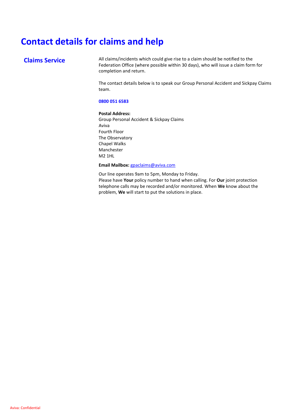## **Contact details for claims and help**

**Claims Service** All claims/incidents which could give rise to a claim should be notified to the Federation Office (where possible within 30 days), who will issue a claim form for completion and return.

> The contact details below is to speak our Group Personal Accident and Sickpay Claims team.

#### **0800 051 6583**

#### **Postal Address:**

Group Personal Accident & Sickpay Claims Aviva Fourth Floor The Observatory Chapel Walks Manchester M2 1HL

#### **Email Mailbox:** [gpaclaims@aviva.com](mailto:gpaclaims@aviva.com)

Our line operates 9am to 5pm, Monday to Friday.

Please have **Your** policy number to hand when calling. For **Our** joint protection telephone calls may be recorded and/or monitored. When **We** know about the problem, **We** will start to put the solutions in place.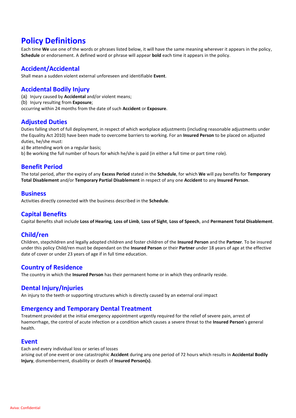## **Policy Definitions**

Each time **We** use one of the words or phrases listed below, it will have the same meaning wherever it appears in the policy, **Schedule** or endorsement. A defined word or phrase will appear **bold** each time it appears in the policy.

## **Accident/Accidental**

Shall mean a sudden violent external unforeseen and identifiable **Event**.

## **Accidental Bodily Injury**

- (a) Injury caused by **Accidental** and/or violent means;
- (b) Injury resulting from **Exposure**;
- occurring within 24 months from the date of such **Accident** or **Exposure**.

## **Adjusted Duties**

Duties falling short of full deployment, in respect of which workplace adjustments (including reasonable adjustments under the Equality Act 2010) have been made to overcome barriers to working. For an **Insured Person** to be placed on adjusted duties, he/she must:

- a) Be attending work on a regular basis;
- b) Be working the full number of hours for which he/she is paid (in either a full time or part time role).

## **Benefit Period**

The total period, after the expiry of any **Excess Period** stated in the **Schedule**, for which **We** will pay benefits for **Temporary Total Disablement** and/or **Temporary Partial Disablement** in respect of any one **Accident** to any **Insured Person**.

### **Business**

Activities directly connected with the business described in the **Schedule**.

## **Capital Benefits**

Capital Benefits shall include **Loss of Hearing**, **Loss of Limb**, **Loss of Sight**, **Loss of Speech**, and **Permanent Total Disablement**.

## **Child/ren**

Children, stepchildren and legally adopted children and foster children of the **Insured Person** and the **Partner**. To be insured under this policy Child/ren must be dependant on the **Insured Person** or their **Partner** under 18 years of age at the effective date of cover or under 23 years of age if in full time education.

## **Country of Residence**

The country in which the **Insured Person** has their permanent home or in which they ordinarily reside.

### **Dental Injury/Injuries**

An injury to the teeth or supporting structures which is directly caused by an external oral impact

## **Emergency and Temporary Dental Treatment**

Treatment provided at the initial emergency appointment urgently required for the relief of severe pain, arrest of haemorrhage, the control of acute infection or a condition which causes a severe threat to the **Insured Person**'s general health.

### **Event**

Each and every individual loss or series of losses

arising out of one event or one catastrophic **Accident** during any one period of 72 hours which results in **Accidental Bodily Injury**, dismemberment, disability or death of **Insured Person(s)**.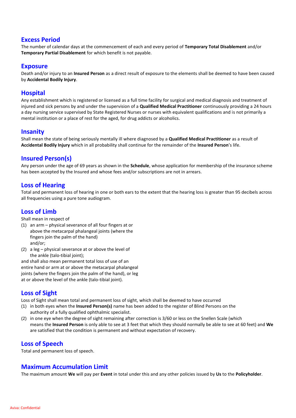## **Excess Period**

The number of calendar days at the commencement of each and every period of **Temporary Total Disablement** and/or **Temporary Partial Disablement** for which benefit is not payable.

### **Exposure**

Death and/or injury to an **Insured Person** as a direct result of exposure to the elements shall be deemed to have been caused by **Accidental Bodily Injury**.

## **Hospital**

Any establishment which is registered or licensed as a full time facility for surgical and medical diagnosis and treatment of injured and sick persons by and under the supervision of a **Qualified Medical Practitioner** continuously providing a 24 hours a day nursing service supervised by State Registered Nurses or nurses with equivalent qualifications and is not primarily a mental institution or a place of rest for the aged, for drug addicts or alcoholics.

## **Insanity**

Shall mean the state of being seriously mentally ill where diagnosed by a **Qualified Medical Practitioner** as a result of **Accidental Bodily Injury** which in all probability shall continue for the remainder of the **Insured Person**'s life.

## **Insured Person(s)**

Any person under the age of 69 years as shown in the **Schedule**, whose application for membership of the insurance scheme has been accepted by the Insured and whose fees and/or subscriptions are not in arrears.

## **Loss of Hearing**

Total and permanent loss of hearing in one or both ears to the extent that the hearing loss is greater than 95 decibels across all frequencies using a pure tone audiogram.

## **Loss of Limb**

Shall mean in respect of

- (1) an arm physical severance of all four fingers at or above the metacarpal phalangeal joints (where the fingers join the palm of the hand) and/or;
- (2) a leg physical severance at or above the level of the ankle (talo-tibial joint):

and shall also mean permanent total loss of use of an entire hand or arm at or above the metacarpal phalangeal joints (where the fingers join the palm of the hand), or leg at or above the level of the ankle (talo-tibial joint).

## **Loss of Sight**

Loss of Sight shall mean total and permanent loss of sight, which shall be deemed to have occurred

- (1) in both eyes when the **Insured Person(s)** name has been added to the register of Blind Persons on the authority of a fully qualified ophthalmic specialist.
- (2) in one eye when the degree of sight remaining after correction is 3/60 or less on the Snellen Scale (which means the **Insured Person** is only able to see at 3 feet that which they should normally be able to see at 60 feet) and **We** are satisfied that the condition is permanent and without expectation of recovery.

## **Loss of Speech**

Total and permanent loss of speech.

### **Maximum Accumulation Limit**

The maximum amount **We** will pay per **Event** in total under this and any other policies issued by **Us** to the **Policyholder**.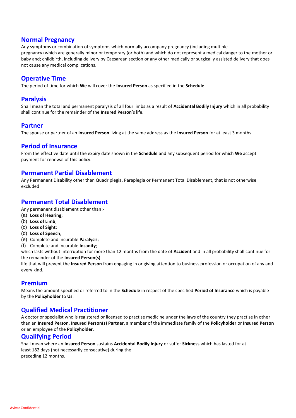## **Normal Pregnancy**

Any symptoms or combination of symptoms which normally accompany pregnancy (including multiple pregnancy) which are generally minor or temporary (or both) and which do not represent a medical danger to the mother or baby and; childbirth, including delivery by Caesarean section or any other medically or surgically assisted delivery that does not cause any medical complications.

## **Operative Time**

The period of time for which **We** will cover the **Insured Person** as specified in the **Schedule**.

## **Paralysis**

Shall mean the total and permanent paralysis of all four limbs as a result of **Accidental Bodily Injury** which in all probability shall continue for the remainder of the **Insured Person**'s life.

## **Partner**

The spouse or partner of an **Insured Person** living at the same address as the **Insured Person** for at least 3 months.

### **Period of Insurance**

From the effective date until the expiry date shown in the **Schedule** and any subsequent period for which **We** accept payment for renewal of this policy.

#### **Permanent Partial Disablement**

Any Permanent Disability other than Quadriplegia, Paraplegia or Permanent Total Disablement, that is not otherwise excluded

## **Permanent Total Disablement**

Any permanent disablement other than:-

- (a) **Loss of Hearing**;
- (b) **Loss of Limb**;
- (c) **Loss of Sight**;
- (d) **Loss of Speech**;
- (e) Complete and incurable **Paralysis**;
- (f) Complete and incurable **Insanity**;

which lasts without interruption for more than 12 months from the date of **Accident** and in all probability shall continue for the remainder of the **Insured Person(s)**

life that will prevent the **Insured Person** from engaging in or giving attention to business profession or occupation of any and every kind.

## **Premium**

Means the amount specified or referred to in the **Schedule** in respect of the specified **Period of Insurance** which is payable by the **Policyholder** to **Us**.

## **Qualified Medical Practitioner**

A doctor or specialist who is registered or licensed to practise medicine under the laws of the country they practise in other than an **Insured Person**, **Insured Person(s) Partner**, a member of the immediate family of the **Policyholder** or **Insured Person** or an employee of the **Policyholder**.

## **Qualifying Period**

Shall mean where an **Insured Person** sustains **Accidental Bodily Injury** or suffer **Sickness** which has lasted for at least 182 days (not necessarily consecutive) during the preceding 12 months.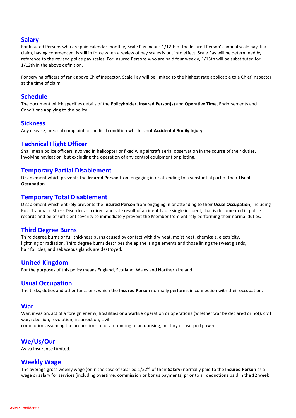## **Salary**

For Insured Persons who are paid calendar monthly, Scale Pay means 1/12th of the Insured Person's annual scale pay. If a claim, having commenced, is still in force when a review of pay scales is put into effect, Scale Pay will be determined by reference to the revised police pay scales. For Insured Persons who are paid four weekly, 1/13th will be substituted for 1/12th in the above definition.

For serving officers of rank above Chief Inspector, Scale Pay will be limited to the highest rate applicable to a Chief Inspector at the time of claim.

## **Schedule**

The document which specifies details of the **Policyholder**, **Insured Person(s)** and **Operative Time**, Endorsements and Conditions applying to the policy.

### **Sickness**

Any disease, medical complaint or medical condition which is not **Accidental Bodily Injury**.

## **Technical Flight Officer**

Shall mean police officers involved in helicopter or fixed wing aircraft aerial observation in the course of their duties, involving navigation, but excluding the operation of any control equipment or piloting.

## **Temporary Partial Disablement**

Disablement which prevents the **Insured Person** from engaging in or attending to a substantial part of their **Usual Occupation**.

## **Temporary Total Disablement**

Disablement which entirely prevents the **Insured Person** from engaging in or attending to their **Usual Occupation**, including Post Traumatic Stress Disorder as a direct and sole result of an identifiable single incident, that is documented in police records and be of sufficient severity to immediately prevent the Member from entirely performing their normal duties.

## **Third Degree Burns**

Third degree burns or full thickness burns caused by contact with dry heat, moist heat, chemicals, electricity, lightning or radiation. Third degree burns describes the epithelising elements and those lining the sweat glands, hair follicles, and sebaceous glands are destroyed.

### **United Kingdom**

For the purposes of this policy means England, Scotland, Wales and Northern Ireland.

### **Usual Occupation**

The tasks, duties and other functions, which the **Insured Person** normally performs in connection with their occupation.

### **War**

War, invasion, act of a foreign enemy, hostilities or a warlike operation or operations (whether war be declared or not), civil war, rebellion, revolution, insurrection, civil

commotion assuming the proportions of or amounting to an uprising, military or usurped power.

## **We/Us/Our**

Aviva Insurance Limited.

## **Weekly Wage**

The average gross weekly wage (or in the case of salaried 1/52nd of their **Salary**) normally paid to the **Insured Person** as a wage or salary for services (including overtime, commission or bonus payments) prior to all deductions paid in the 12 week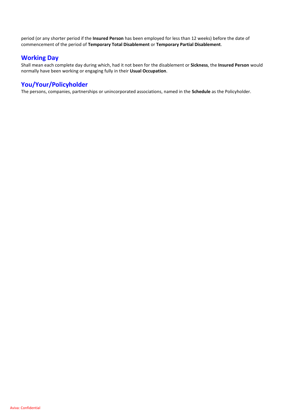period (or any shorter period if the **Insured Person** has been employed for less than 12 weeks) before the date of commencement of the period of **Temporary Total Disablement** or **Temporary Partial Disablement**.

## **Working Day**

Shall mean each complete day during which, had it not been for the disablement or **Sickness**, the **Insured Person** would normally have been working or engaging fully in their **Usual Occupation**.

## **You/Your/Policyholder**

The persons, companies, partnerships or unincorporated associations, named in the **Schedule** as the Policyholder.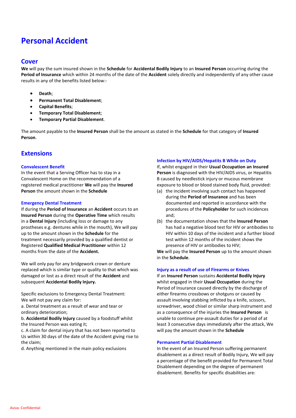## **Personal Accident**

#### **Cover**

**We** will pay the sum insured shown in the **Schedule** for **Accidental Bodily Injury** to an **Insured Person** occurring during the **Period of Insurance** which within 24 months of the date of the **Accident** solely directly and independently of any other cause results in any of the benefits listed below:-

- **Death**;
- **Permanent Total Disablement**;
- **Capital Benefits**;
- **Temporary Total Disablement**;
- **Temporary Partial Disablement**.

The amount payable to the **Insured Person** shall be the amount as stated in the **Schedule** for that category of **Insured Person**.

## **Extensions**

#### **Convalescent Benefit**

In the event that a Serving Officer has to stay in a Convalescent Home on the recommendation of a registered medical practitioner **We** will pay the **Insured Person** the amount shown in the **Schedule**

#### **Emergency Dental Treatment**

If during the **Period of Insurance** an **Accident** occurs to an **Insured Person** during the **Operative Time** which results in a **Dental Injury** (including loss or damage to any prostheses e.g. dentures while in the mouth), We will pay up to the amount shown in the **Schedule** for the treatment necessarily provided by a qualified dentist or Registered **Qualified Medical Practitioner** within 12 months from the date of the **Accident.**

We will only pay for any bridgework crown or denture replaced which is similar type or quality to that which was damaged or lost as a direct result of the **Accident** and subsequent **Accidental Bodily Injury.**

Specific exclusions to Emergency Dental Treatment: We will not pay any claim for:

a. Dental treatment as a result of wear and tear or ordinary deterioration;

b. **Accidental Bodily Injury** caused by a foodstuff whilst the Insured Person was eating it;

c. A claim for dental injury that has not been reported to Us within 30 days of the date of the Accident giving rise to the claim;

d. Anything mentioned in the main policy exclusions

#### **Infection by HIV/AIDS/Hepatits B While on Duty**

If, whilst engaged in their **Usual Occupation an Insured Person** is diagnosed with the HIV/AIDS virus, or Hepatitis B caused by needlestick injury or mucous membrane exposure to blood or blood stained body fluid, provided:

- (a) the incident involving such contact has happened during the **Period of Insurance** and has been documented and reported in accordance with the procedures of the **Policyholder** for such incidences and;
- (b) the documentation shows that the **Insured Person** has had a negative blood test for HIV or antibodies to HIV within 10 days of the incident and a further blood test within 12 months of the incident shows the presence of HIV or antibodies to HIV;

**We** will pay the **Insured Person** up to the amount shown in the **Schedule**.

#### **Injury as a result of use of Firearms or Knives**

If an **Insured Person** sustains **Accidental Bodily Injury** whilst engaged in their **Usual Occupation** during the Period of Insurance caused directly by the discharge of either firearms crossbows or shotguns or caused by assault involving stabbing inflicted by a knife, scissors, screwdriver, wood chisel or similar sharp instrument and as a consequence of the injuries the **Insured Person** is unable to continue pre-assault duties for a period of at least 3 consecutive days immediately after the attack, We will pay the amount shown in the **Schedule**

#### **Permanent Partial Disablement**

In the event of an Insured Person suffering permanent disablement as a direct result of Bodily Injury, We will pay a percentage of the benefit provided for Permanent Total Disablement depending on the degree of permanent disablement. Benefits for specific disabilities are: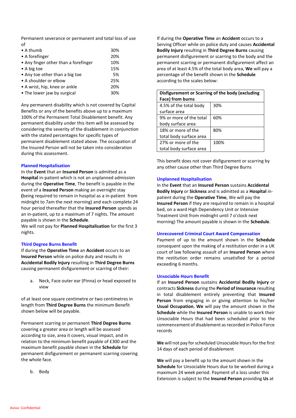Permanent severance or permanent and total loss of use of

| $\bullet$ A thumb                    | 30% |
|--------------------------------------|-----|
| $\bullet$ A forefinger               | 20% |
| • Any finger other than a forefinger | 10% |
| $\bullet$ A big toe                  | 15% |
| • Any toe other than a big toe       | 5%  |
| • A shoulder or elbow                | 25% |
| • A wrist, hip, knee or ankle        | 20% |
| • The lower jaw by surgical          | 30% |
|                                      |     |

Any permanent disability which is not covered by Capital Benefits or any of the benefits above up to a maximum 100% of the Permanent Total Disablement benefit. Any permanent disability under this item will be assessed by considering the severity of the disablement in conjunction with the stated percentages for specific types of permanent disablement stated above. The occupation of the Insured Person will not be taken into consideration during this assessment.

#### **Planned Hospitalisation**

In the **Event** that an **Insured Person** is admitted as a **Hospital** in-patient which is not an unplanned admission during the **Operative Time**, The benefit is payable in the event of a **Insured Person** making an overnight stay **(**being required to remain in hospital as a in-patient from midnight to 7am the next morning) and each complete 24 hour period thereafter that the **Insured Person** spends as an in-patient, up to a maximum of 7 nights. The amount payable is shown in the **Schedule**.

We will not pay for **Planned Hospitalisation** for the first 3 nights.

#### **Third Degree Burns Benefit**

If during the **Operative Time** an **Accident** occurs to an **Insured Person** while on police duty and results in **Accidental Bodily Injury** resulting in **Third Degree Burns** causing permanent disfigurement or scarring of their:

a. Neck, Face outer ear (Pinna) or head exposed to view

of at least one square centimetre or two centimetres in length from **Third Degree Burns** the minimum Benefit shown below will be payable.

Permanent scarring or permanent **Third Degree Burns** covering a greater area or length will be assessed according to size, area it covers, visual impact, and in relation to the minimum benefit payable of £300 and the maximum benefit payable shown in the **Schedule** for permanent disfigurement or permanent scarring covering the whole face.

b. Body

If during the **Operative Time** an **Accident** occurs to a Serving Officer while on police duty and causes **Accidental Bodily Injury** resulting in **Third Degree Burns** causing permanent disfigurement or scarring to the body and the permanent scarring or permanent disfigurement affect an area of at least 4.5% of the total body area, **We** will pay a percentage of the benefit shown in the **Schedule**  according to the scales below:

| Disfigurement or Scarring of the body (excluding |      |  |  |
|--------------------------------------------------|------|--|--|
| Face) from burns                                 |      |  |  |
| 4.5% of the total body                           | 30%  |  |  |
| surface area                                     |      |  |  |
| 9% or more of the total                          | 60%  |  |  |
| body surface area                                |      |  |  |
| 18% or more of the                               | 80%  |  |  |
| total body surface area                          |      |  |  |
| 27% or more of the                               | 100% |  |  |
| total body surface area                          |      |  |  |

This benefit does not cover disfigurement or scarring by any other cause other than Third Degree Burns

#### **Unplanned Hospitalisation**

In the **Event** that an **Insured Person** sustains **Accidental Bodily Injury** or **Sickness** and is admitted as a **Hospital** inpatient during the **Operative Time**, We will pay the **Insured Person** if they are required to remain in a hospital bed, on a ward High Dependency Unit or Intensive Treatment Unit from midnight until 7 o'clock next morning) The amount payable is shown in the **Schedule**.

#### **Unrecovered Criminal Court Award Compensation**

Payment of up to the amount shown in the **Schedule**  consequent upon the making of a restitution order in a UK court of law following assault of an **Insured Person** where the restitution order remains unsatisfied for a period exceeding 6 months.

#### **Unsociable Hours Benefit**

If an **Insured Person** sustains **Accidental Bodily Injury** or contracts **Sickness** during the **Period of Insurance** resulting in total disablement entirely preventing that **Insured Person** from engaging in or giving attention to his/her **Usual Occupation**, **We** will pay the amount shown in the **Schedule** while the **Insured Person** is unable to work their Unsociable Hours that had been scheduled prior to the commencement of disablement as recorded in Police Force records

We will not pay for scheduled Unsociable Hours for the first 14 days of each period of disablement

**We** will pay a benefit up to the amount shown in the **Schedule** for Unsociable Hours due to be worked during a maximum 24 week period. Payment of a loss under this Extension is subject to the **Insured Person** providing **Us** at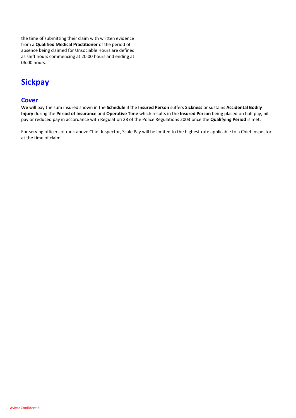the time of submitting their claim with written evidence from a **Qualified Medical Practitioner** of the period of absence being claimed for Unsociable Hours are defined as shift hours commencing at 20.00 hours and ending at 06.00 hours.

## **Sickpay**

## **Cover**

**We** will pay the sum insured shown in the **Schedule** if the **Insured Person** suffers **Sickness** or sustains **Accidental Bodily Injury** during the **Period of Insurance** and **Operative Time** which results in the **Insured Person** being placed on half pay, nil pay or reduced pay in accordance with Regulation 28 of the Police Regulations 2003 once the **Qualifying Period** is met.

For serving officers of rank above Chief Inspector, Scale Pay will be limited to the highest rate applicable to a Chief Inspector at the time of claim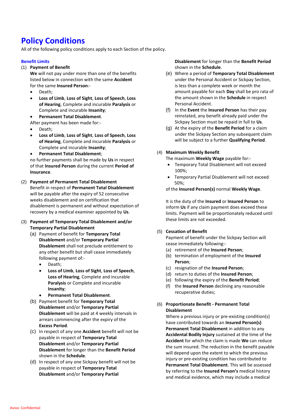## **Policy Conditions**

All of the following policy conditions apply to each Section of the policy.

#### **Benefit Limits**

#### (1) **Payment of Benefit**

- **We** will not pay under more than one of the benefits listed below in connection with the same **Accident** for the same **Insured Person**:-
- Death:
- **Loss of Limb**, **Loss of Sight**, **Loss of Speech**, **Loss of Hearing**, Complete and incurable **Paralysis** or Complete and incurable **Insanity**;
- **Permanent Total Disablement**.

After payment has been made for:-

- Death;
- **Loss of Limb**, **Loss of Sight**, **Loss of Speech**, **Loss of Hearing**, Complete and incurable **Paralysis** or Complete and incurable **Insanity**;
- **Permanent Total Disablement**;

no further payments shall be made by **Us** in respect of that **Insured Person** during the current **Period of Insurance**.

- (2) **Payment of Permanent Total Disablement** Benefit in respect of **Permanent Total Disablement** will be payable after the expiry of 52 consecutive weeks disablement and on certification that disablement is permanent and without expectation of recovery by a medical examiner appointed by **Us**.
- (3) **Payment of Temporary Total Disablement and/or Temporary Partial Disablement**
	- (a) Payment of benefit for **Temporary Total Disablement** and/or **Temporary Partial Disablement** shall not preclude entitlement to any other benefit but shall cease immediately following payment of:-
		- Death:
		- **Loss of Limb**, **Loss of Sight**, **Loss of Speech**, **Loss of Hearing**, Complete and incurable **Paralysis** or Complete and incurable **Insanity**;
		- **Permanent Total Disablement**.
	- (b) Payment benefit for **Temporary Total Disablement** and/or **Temporary Partial Disablement** will be paid at 4 weekly intervals in arrears commencing after the expiry of the **Excess Period**.
	- (c) In respect of any one **Accident** benefit will not be payable in respect of **Temporary Total Disablement** and/or **Temporary Partial Disablement** for longer than the **Benefit Period** shown in the **Schedule**.
	- (d) In respect of any one Sickpay benefit will not be payable in respect of **Temporary Total Disablement** and/or **Temporary Partial**

**Disablement** for longer than the **Benefit Period** shown in the **Schedule**.

- (e) Where a period of **Temporary Total Disablement** under the Personal Accident or Sickpay Section, is less than a complete week or month the amount payable for each **Day** shall be pro rata of the amount shown in the **Schedule** in respect Personal Accident.
- (f) In the **Event** the **Insured Person** has their pay reinstated, any benefit already paid under the Sickpay Section must be repaid in full to **Us**.
- (g) At the expiry of the **Benefit Period** for a claim under the Sickpay Section any subsequent claim will be subject to a further **Qualifying Period**.

#### (4) **Maximum Weekly Benefit**

The maximum **Weekly Wage** payable for:-

- Temporary Total Disablement will not exceed 100%;
- Temporary Partial Disablement will not exceed 50%;

of the **Insured Person(s)** normal **Weekly Wage**.

It is the duty of the **Insured** or **Insured Person** to inform **Us** if any claim payment does exceed these limits. Payment will be proportionately reduced until these limits are not exceeded.

#### (5) **Cessation of Benefit**

Payment of benefit under the Sickpay Section will cease immediately following:-

- (a) retirement of the **Insured Person**;
- (b) termination of employment of the **Insured Person**;
- (c) resignation of the **Insured Person**;
- (d) return to duties of the **Insured Person**;
- (e) following the expiry of the **Benefit Period**;
- (f) the **Insured Person** declining any reasonable recuperative duties;

#### (6) **Proportionate Benefit - Permanent Total Disablement**

Where a previous injury or pre-existing condition(s) have contributed towards an **Insured Person(s) Permanent Total Disablement** in addition to any **Accidental Bodily Injury** sustained at the time of the **Accident** for which the claim is made **We** can reduce the sum insured. The reduction in the benefit payable will depend upon the extent to which the previous injury or pre-existing condition has contributed to **Permanent Total Disablement**. This will be assessed by referring to the **Insured Person's** medical history and medical evidence, which may include a medical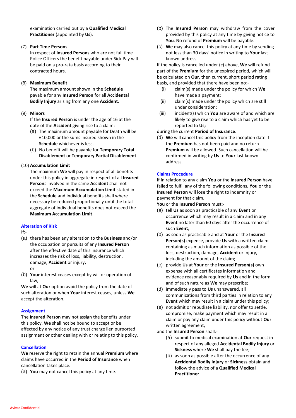examination carried out by a **Qualified Medical Practitioner** (appointed by **Us**).

#### (7) **Part Time Persons**

In respect of **Insured Persons** who are not full time Police Officers the benefit payable under Sick Pay will be paid on a pro-rata basis according to their contracted hours.

#### (8) **Maximum Benefit**

The maximum amount shown in the **Schedule** payable for any **Insured Person** for all **Accidental Bodily Injury** arising from any one **Accident**.

#### (9) **Minors**

If the **Insured Person** is under the age of 16 at the date of the **Accident** giving rise to a claim:-

- (a) The maximum amount payable for Death will be £10,000 or the sums insured shown in the **Schedule** whichever is less.
- (b) No benefit will be payable for **Temporary Total Disablement** or **Temporary Partial Disablement**.

#### (10) **Accumulation Limit**

The maximum **We** will pay in respect of all benefits under this policy in aggregate in respect of all **Insured Person**s involved in the same **Accident** shall not exceed the **Maximum Accumulation Limit** stated in the **Schedule** and individual benefits shall where necessary be reduced proportionally until the total aggregate of individual benefits does not exceed the **Maximum Accumulation Limit**.

#### **Alteration of Risk**

If:-

- (a) there has been any alteration to the **Business** and/or the occupation or pursuits of any **Insured Person** after the effective date of this insurance which increases the risk of loss, liability, destruction, damage, **Accident** or injury; or
- (b) **Your** interest ceases except by will or operation of law;

**We** will at **Our** option avoid the policy from the date of such alteration or when **Your** interest ceases, unless **We** accept the alteration.

#### **Assignment**

The **Insured Person** may not assign the benefits under this policy. **We** shall not be bound to accept or be affected by any notice of any trust charge lien purported assignment or other dealing with or relating to this policy.

#### **Cancellation**

**We** reserve the right to retain the annual **Premium** where claims have occurred in the **Period of Insurance** when cancellation takes place.

(a) **You** may not cancel this policy at any time.

- (b) The **Insured Person** may withdraw from the cover provided by this policy at any time by giving notice to **You**. No refund of **Premium** will be payable.
- (c) **We** may also cancel this policy at any time by sending not less than 30 days' notice in writing to **Your** last known address.

If the policy is cancelled under (c) above, **We** will refund part of the **Premium** for the unexpired period, which will be calculated on **Our**, then current, short period rating basis, and provided that there have been no:-

- (i) claim(s) made under the policy for which **We** have made a payment;
- (ii) claim(s) made under the policy which are still under consideration;
- (iii) incident(s) which **You** are aware of and which are likely to give rise to a claim which has yet to be reported to **Us;**

during the current **Period of Insurance**.

(d) **We** will cancel this policy from the inception date if the **Premium** has not been paid and no return **Premium** will be allowed. Such cancellation will be confirmed in writing by **Us** to **Your** last known address.

#### **Claims Procedure**

If in relation to any claim **You** or the **Insured Person** have failed to fulfil any of the following conditions, **You** or the **Insured Person** will lose the right to indemnity or payment for that claim.

**You** or the **Insured Person** must:-

- (a) tell **Us** as soon as practicable of any **Event** or occurrence which may result in a claim and in any **Event** no later than 60 days after the occurrence of such **Event**;
- (b) as soon as practicable and at **Your** or the **Insured Person(s)** expense, provide **Us** with a written claim containing as much information as possible of the loss, destruction, damage, **Accident** or injury, including the amount of the claim;
- (c) provide **Us** at **Your** or the **Insured Person(s)** own expense with all certificates information and evidence reasonably required by **Us** and in the form and of such nature as **We** may prescribe;
- (d) immediately pass to **Us** unanswered, all communications from third parties in relation to any **Event** which may result in a claim under this policy;
- (e) not admit or repudiate liability, nor offer to settle, compromise, make payment which may result in a claim or pay any claim under this policy without **Our** written agreement;

and the **Insured Person** shall:-

- (a) submit to medical examination at **Our** request in respect of any alleged **Accidental Bodily Injury** or **Sickness** where **We** shall pay the fee;
- (b) as soon as possible after the occurrence of any **Accidental Bodily Injury** or **Sickness** obtain and follow the advice of a **Qualified Medical Practitioner**.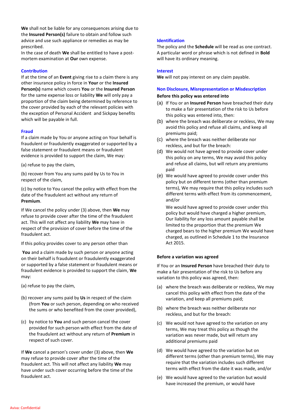**We** shall not be liable for any consequences arising due to the **Insured Person(s)** failure to obtain and follow such advice and use such appliance or remedies as may be prescribed.

In the case of death **We** shall be entitled to have a postmortem examination at **Our** own expense.

#### **Contribution**

If at the time of an **Event** giving rise to a claim there is any other insurance policy in force in **Your** or the **Insured Person(s)** name which covers **You** or the **Insured Person** for the same expense loss or liability **We** will only pay a proportion of the claim being determined by reference to the cover provided by each of the relevant policies with the exception of Personal Accident and Sickpay benefits which will be payable in full.

#### **Fraud**

If a claim made by You or anyone acting on Your behalf is fraudulent or fraudulently exaggerated or supported by a false statement or fraudulent means or fraudulent evidence is provided to support the claim, We may:

(a) refuse to pay the claim,

(b) recover from You any sums paid by Us to You in respect of the claim,

(c) by notice to You cancel the policy with effect from the date of the fraudulent act without any return of **Premium**.

If We cancel the policy under (3) above, then **We** may refuse to provide cover after the time of the fraudulent act. This will not affect any liability **We** may have in respect of the provision of cover before the time of the fraudulent act.

If this policy provides cover to any person other than

**You** and a claim made by such person or anyone acting on their behalf is fraudulent or fraudulently exaggerated or supported by a false statement or fraudulent means or fraudulent evidence is provided to support the claim, **We** may:

- (a) refuse to pay the claim,
- (b) recover any sums paid by **Us** in respect of the claim (from **You** or such person, depending on who received the sums or who benefited from the cover provided),
- (c) by notice to **You** and such person cancel the cover provided for such person with effect from the date of the fraudulent act without any return of **Premium** in respect of such cover.

If **We** cancel a person's cover under (3) above, then **We** may refuse to provide cover after the time of the fraudulent act. This will not affect any liability **We** may have under such cover occurring before the time of the fraudulent act.

#### **Identification**

The policy and the **Schedule** will be read as one contract. A particular word or phrase which is not defined in **Bold** will have its ordinary meaning.

#### **Interest**

**We** will not pay interest on any claim payable.

#### **Non Disclosure, Misrepresentation or Misdescription**

#### **Before this policy was entered into**

- (a) If You or an **Insured Person** have breached their duty to make a fair presentation of the risk to Us before this policy was entered into, then:
- (b) where the breach was deliberate or reckless, We may avoid this policy and refuse all claims, and keep all premiums paid;
- (c) where the breach was neither deliberate nor reckless, and but for the breach:
- (d) We would not have agreed to provide cover under this policy on any terms, We may avoid this policy and refuse all claims, but will return any premiums paid
- (e) We would have agreed to provide cover under this policy but on different terms (other than premium terms), We may require that this policy includes such different terms with effect from its commencement, and/or

We would have agreed to provide cover under this policy but would have charged a higher premium, Our liability for any loss amount payable shall be limited to the proportion that the premium We charged bears to the higher premium We would have charged, as outlined in Schedule 1 to the Insurance Act 2015.

#### **Before a variation was agreed**

If You or an **Insured Person** have breached their duty to make a fair presentation of the risk to Us before any variation to this policy was agreed, then:

- (a) where the breach was deliberate or reckless, We may cancel this policy with effect from the date of the variation, and keep all premiums paid;
- (b) where the breach was neither deliberate nor reckless, and but for the breach:
- (c) We would not have agreed to the variation on any terms, We may treat this policy as though the variation was never made, but will return any additional premiums paid
- (d) We would have agreed to the variation but on different terms (other than premium terms), We may require that the variation includes such different terms with effect from the date it was made, and/or
- (e) We would have agreed to the variation but would have increased the premium, or would have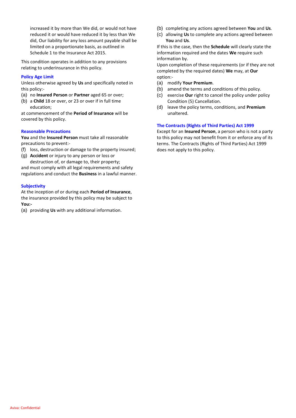increased it by more than We did, or would not have reduced it or would have reduced it by less than We did, Our liability for any loss amount payable shall be limited on a proportionate basis, as outlined in Schedule 1 to the Insurance Act 2015.

This condition operates in addition to any provisions relating to underinsurance in this policy.

#### **Policy Age Limit**

Unless otherwise agreed by **Us** and specifically noted in this policy:-

- (a) no **Insured Person** or **Partner** aged 65 or over;
- (b) a **Child** 18 or over, or 23 or over if in full time education;

at commencement of the **Period of Insurance** will be covered by this policy.

#### **Reasonable Precautions**

**You** and the **Insured Person** must take all reasonable precautions to prevent:-

- (f) loss, destruction or damage to the property insured;
- (g) **Accident** or injury to any person or loss or destruction of, or damage to, their property;

and must comply with all legal requirements and safety regulations and conduct the **Business** in a lawful manner.

#### **Subjectivity**

At the inception of or during each **Period of Insurance**, the insurance provided by this policy may be subject to **You:-**

(a) providing **Us** with any additional information.

- (b) completing any actions agreed between **You** and **Us**.
- (c) allowing **Us** to complete any actions agreed between **You** and **Us**.

If this is the case, then the **Schedule** will clearly state the information required and the dates **We** require such information by.

Upon completion of these requirements (or if they are not completed by the required dates) **We** may, at **Our** option:-

- (a) modify **Your Premium**.
- (b) amend the terms and conditions of this policy.
- (c) exercise **Our** right to cancel the policy under policy Condition (5) Cancellation.
- (d) leave the policy terms, conditions, and **Premium** unaltered.

#### **The Contracts (Rights of Third Parties) Act 1999**

Except for an **Insured Person**, a person who is not a party to this policy may not benefit from it or enforce any of its terms. The Contracts (Rights of Third Parties) Act 1999 does not apply to this policy.